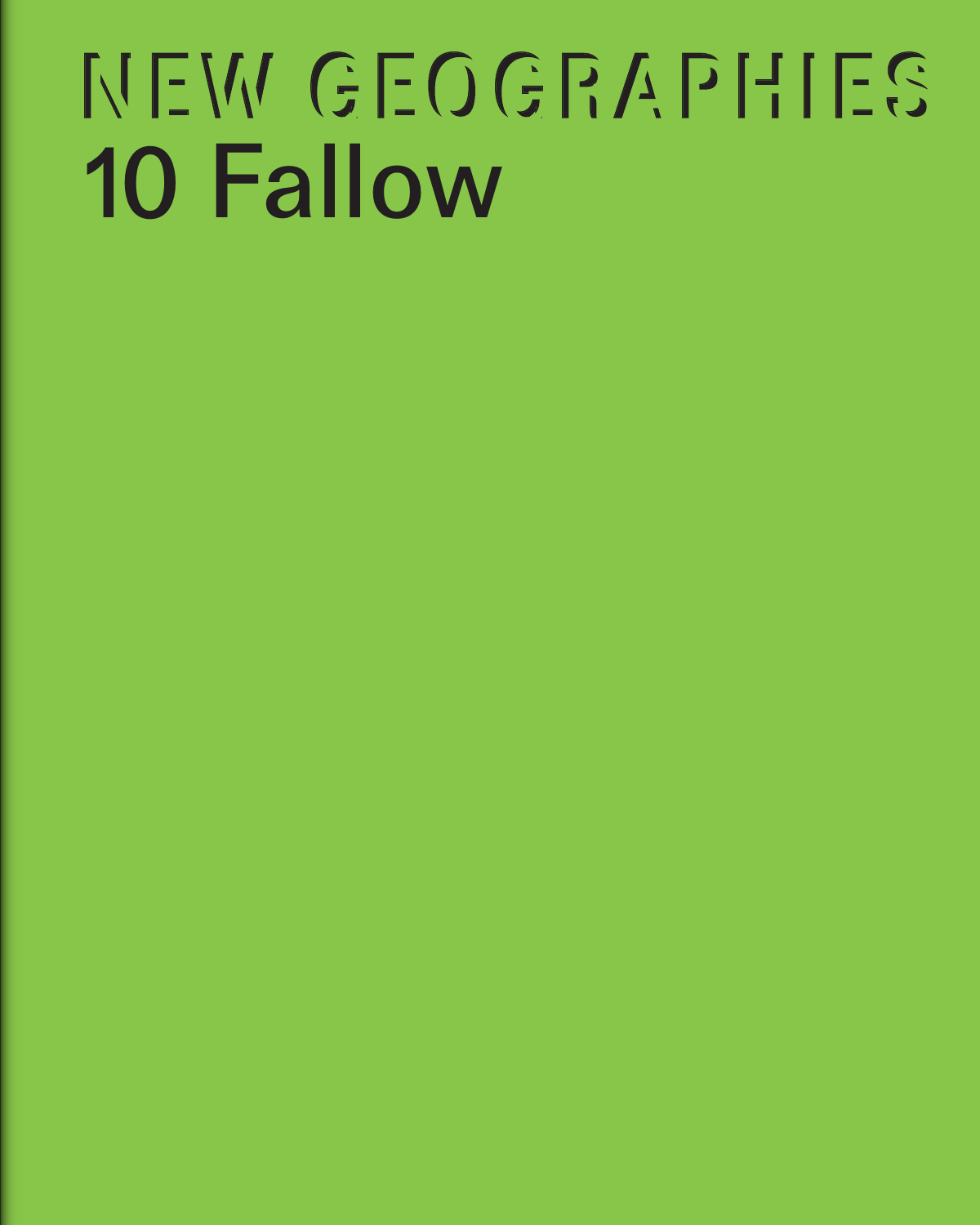# NEW GEOGRAPHIES 10 Fallow

- 
- 
- 
- 
- 
- 
-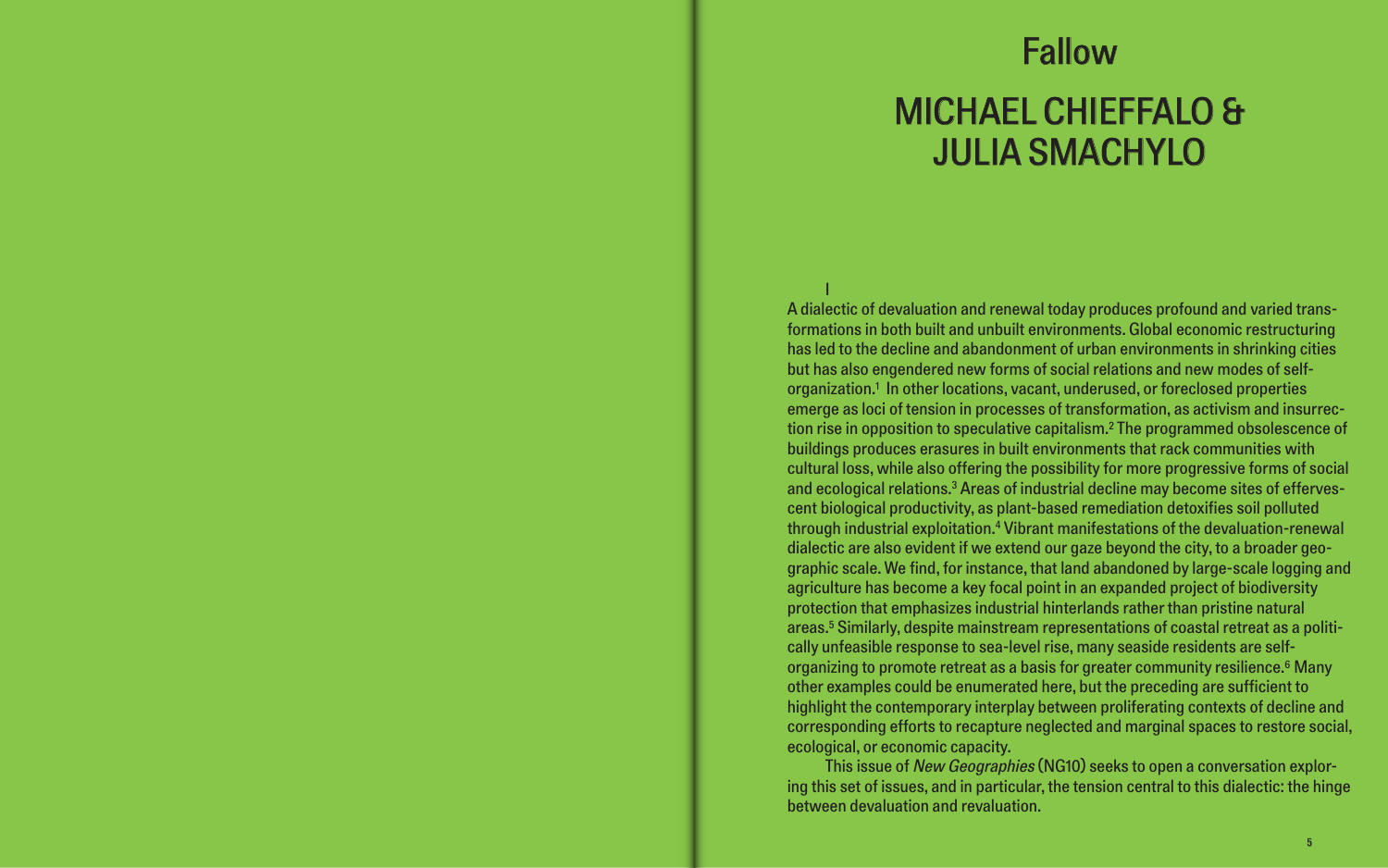# Fallow MICHAEL CHIEFFALO & JULIA SMACHYLO

I A dialectic of devaluation and renewal today produces profound and varied transformations in both built and unbuilt environments. Global economic restructuring has led to the decline and abandonment of urban environments in shrinking cities but has also engendered new forms of social relations and new modes of selforganization.1 In other locations, vacant, underused, or foreclosed properties emerge as loci of tension in processes of transformation, as activism and insurrection rise in opposition to speculative capitalism.2 The programmed obsolescence of buildings produces erasures in built environments that rack communities with cultural loss, while also offering the possibility for more progressive forms of social and ecological relations.3 Areas of industrial decline may become sites of effervescent biological productivity, as plant-based remediation detoxifies soil polluted through industrial exploitation.4 Vibrant manifestations of the devaluation-renewal dialectic are also evident if we extend our gaze beyond the city, to a broader geographic scale. We find, for instance, that land abandoned by large-scale logging and agriculture has become a key focal point in an expanded project of biodiversity protection that emphasizes industrial hinterlands rather than pristine natural areas.5 Similarly, despite mainstream representations of coastal retreat as a politically unfeasible response to sea-level rise, many seaside residents are selforganizing to promote retreat as a basis for greater community resilience.<sup>6</sup> Many other examples could be enumerated here, but the preceding are sufficient to highlight the contemporary interplay between proliferating contexts of decline and corresponding efforts to recapture neglected and marginal spaces to restore social, ecological, or economic capacity.

This issue of New Geographies (NG10) seeks to open a conversation exploring this set of issues, and in particular, the tension central to this dialectic: the hinge between devaluation and revaluation.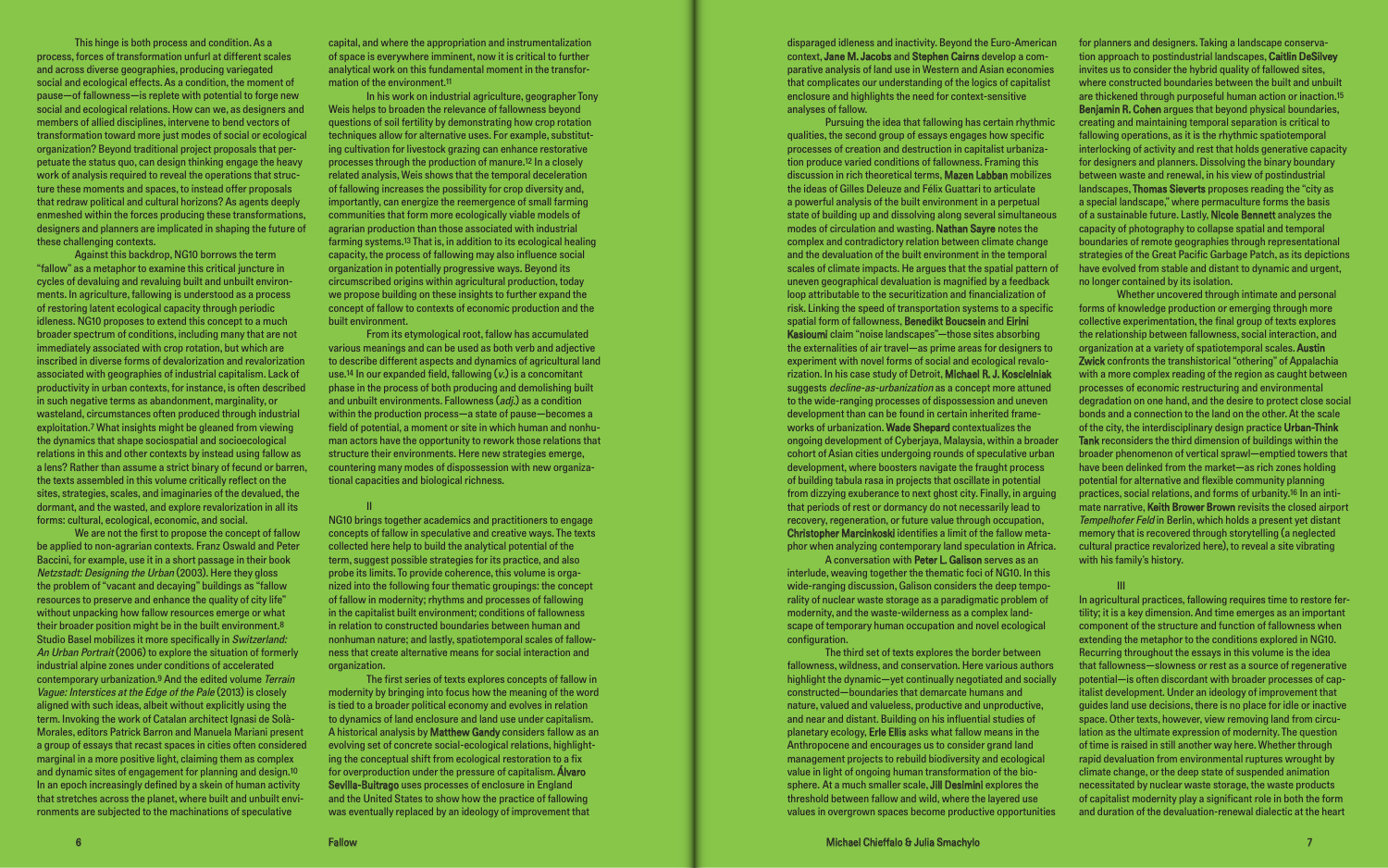This hinge is both process and condition. As a process, forces of transformation unfurl at different scales and across diverse geographies, producing variegated social and ecological effects. As a condition, the moment of pause—of fallowness—is replete with potential to forge new social and ecological relations. How can we, as designers and members of allied disciplines, intervene to bend vectors of transformation toward more just modes of social or ecological organization? Beyond traditional project proposals that perpetuate the status quo, can design thinking engage the heavy work of analysis required to reveal the operations that structure these moments and spaces, to instead offer proposals that redraw political and cultural horizons? As agents deeply enmeshed within the forces producing these transformations, designers and planners are implicated in shaping the future of these challenging contexts.

Against this backdrop, NG10 borrows the term "fallow" as a metaphor to examine this critical juncture in cycles of devaluing and revaluing built and unbuilt environments. In agriculture, fallowing is understood as a process of restoring latent ecological capacity through periodic idleness. NG10 proposes to extend this concept to a much broader spectrum of conditions, including many that are not immediately associated with crop rotation, but which are inscribed in diverse forms of devalorization and revalorization associated with geographies of industrial capitalism. Lack of productivity in urban contexts, for instance, is often described in such negative terms as abandonment, marginality, or wasteland, circumstances often produced through industrial exploitation.7 What insights might be gleaned from viewing the dynamics that shape sociospatial and socioecological relations in this and other contexts by instead using fallow as a lens? Rather than assume a strict binary of fecund or barren, the texts assembled in this volume critically reflect on the sites, strategies, scales, and imaginaries of the devalued, the dormant, and the wasted, and explore revalorization in all its forms: cultural, ecological, economic, and social.

We are not the first to propose the concept of fallow be applied to non-agrarian contexts. Franz Oswald and Peter Baccini, for example, use it in a short passage in their book Netzstadt: Designing the Urban (2003). Here they gloss the problem of "vacant and decaying" buildings as "fallow resources to preserve and enhance the quality of city life" without unpacking how fallow resources emerge or what their broader position might be in the built environment.8 Studio Basel mobilizes it more specifically in Switzerland: An Urban Portrait (2006) to explore the situation of formerly industrial alpine zones under conditions of accelerated contemporary urbanization.9 And the edited volume Terrain Vague: Interstices at the Edge of the Pale (2013) is closely aligned with such ideas, albeit without explicitly using the term. Invoking the work of Catalan architect Ignasi de Solà-Morales, editors Patrick Barron and Manuela Mariani present a group of essays that recast spaces in cities often considered marginal in a more positive light, claiming them as complex and dynamic sites of engagement for planning and design.10 In an epoch increasingly defined by a skein of human activity that stretches across the planet, where built and unbuilt environments are subjected to the machinations of speculative

capital, and where the appropriation and instrumentalization of space is everywhere imminent, now it is critical to further analytical work on this fundamental moment in the transformation of the environment.11

In his work on industrial agriculture, geographer Tony Weis helps to broaden the relevance of fallowness beyond questions of soil fertility by demonstrating how crop rotation techniques allow for alternative uses. For example, substituting cultivation for livestock grazing can enhance restorative processes through the production of manure.12 In a closely related analysis, Weis shows that the temporal deceleration of fallowing increases the possibility for crop diversity and, importantly, can energize the reemergence of small farming communities that form more ecologically viable models of agrarian production than those associated with industrial farming systems.13 That is, in addition to its ecological healing capacity, the process of fallowing may also influence social organization in potentially progressive ways. Beyond its circumscribed origins within agricultural production, today we propose building on these insights to further expand the concept of fallow to contexts of economic production and the built environment.

From its etymological root, fallow has accumulated various meanings and can be used as both verb and adjective to describe different aspects and dynamics of agricultural land use.<sup>14</sup> In our expanded field, fallowing  $(v)$  is a concomitant phase in the process of both producing and demolishing built and unbuilt environments. Fallowness (adj.) as a condition within the production process—a state of pause—becomes a field of potential, a moment or site in which human and nonhuman actors have the opportunity to rework those relations that structure their environments. Here new strategies emerge, countering many modes of dispossession with new organizational capacities and biological richness.

II

NG10 brings together academics and practitioners to engage concepts of fallow in speculative and creative ways. The texts collected here help to build the analytical potential of the term, suggest possible strategies for its practice, and also probe its limits. To provide coherence, this volume is organized into the following four thematic groupings: the concept of fallow in modernity; rhythms and processes of fallowing in the capitalist built environment; conditions of fallowness in relation to constructed boundaries between human and nonhuman nature; and lastly, spatiotemporal scales of fallowness that create alternative means for social interaction and organization.

The first series of texts explores concepts of fallow in modernity by bringing into focus how the meaning of the word is tied to a broader political economy and evolves in relation to dynamics of land enclosure and land use under capitalism. A historical analysis by Matthew Gandy considers fallow as an evolving set of concrete social-ecological relations, highlighting the conceptual shift from ecological restoration to a fix for overproduction under the pressure of capitalism. **Álvaro** Sevilla-Buitrago uses processes of enclosure in England and the United States to show how the practice of fallowing was eventually replaced by an ideology of improvement that

disparaged idleness and inactivity. Beyond the Euro-American context, Jane M. Jacobs and Stephen Cairns develop a comparative analysis of land use in Western and Asian economies that complicates our understanding of the logics of capitalist enclosure and highlights the need for context-sensitive analyses of fallow.

Pursuing the idea that fallowing has certain rhythmic qualities, the second group of essays engages how specific processes of creation and destruction in capitalist urbanization produce varied conditions of fallowness. Framing this discussion in rich theoretical terms, Mazen Labban mobilizes the ideas of Gilles Deleuze and Félix Guattari to articulate a powerful analysis of the built environment in a perpetual state of building up and dissolving along several simultaneous modes of circulation and wasting. Nathan Sayre notes the complex and contradictory relation between climate change and the devaluation of the built environment in the temporal scales of climate impacts. He argues that the spatial pattern of uneven geographical devaluation is magnified by a feedback loop attributable to the securitization and financialization of risk. Linking the speed of transportation systems to a specific spatial form of fallowness, **Benedikt Boucsein** and Eirini Kasioumi claim "noise landscapes"—those sites absorbing the externalities of air travel—as prime areas for designers to experiment with novel forms of social and ecological revalorization. In his case study of Detroit, Michael R. J. Koscielniak suggests *decline-as-urbanization* as a concept more attuned to the wide-ranging processes of dispossession and uneven development than can be found in certain inherited frameworks of urbanization. Wade Shepard contextualizes the ongoing development of Cyberjaya, Malaysia, within a broader cohort of Asian cities undergoing rounds of speculative urban development, where boosters navigate the fraught process of building tabula rasa in projects that oscillate in potential from dizzying exuberance to next ghost city. Finally, in arguing that periods of rest or dormancy do not necessarily lead to recovery, regeneration, or future value through occupation, Christopher Marcinkoski identifies a limit of the fallow metaphor when analyzing contemporary land speculation in Africa. A conversation with Peter L. Galison serves as an

interlude, weaving together the thematic foci of NG10. In this wide-ranging discussion, Galison considers the deep temporality of nuclear waste storage as a paradigmatic problem of modernity, and the waste-wilderness as a complex landscape of temporary human occupation and novel ecological configuration.

The third set of texts explores the border between fallowness, wildness, and conservation. Here various authors highlight the dynamic—yet continually negotiated and socially constructed—boundaries that demarcate humans and nature, valued and valueless, productive and unproductive, and near and distant. Building on his influential studies of planetary ecology, Erle Ellis asks what fallow means in the Anthropocene and encourages us to consider grand land management projects to rebuild biodiversity and ecological value in light of ongoing human transformation of the biosphere. At a much smaller scale, **Jill Desimini** explores the threshold between fallow and wild, where the layered use values in overgrown spaces become productive opportunities

for planners and designers. Taking a landscape conservation approach to postindustrial landscapes, Caitlin DeSilvey invites us to consider the hybrid quality of fallowed sites, where constructed boundaries between the built and unbuilt are thickened through purposeful human action or inaction.15 Benjamin R. Cohen argues that beyond physical boundaries, creating and maintaining temporal separation is critical to fallowing operations, as it is the rhythmic spatiotemporal interlocking of activity and rest that holds generative capacity for designers and planners. Dissolving the binary boundary between waste and renewal, in his view of postindustrial landscapes, **Thomas Sieverts** proposes reading the "city as a special landscape," where permaculture forms the basis of a sustainable future. Lastly, Nicole Bennett analyzes the capacity of photography to collapse spatial and temporal boundaries of remote geographies through representational strategies of the Great Pacific Garbage Patch, as its depictions have evolved from stable and distant to dynamic and urgent, no longer contained by its isolation.

Whether uncovered through intimate and personal forms of knowledge production or emerging through more collective experimentation, the final group of texts explores the relationship between fallowness, social interaction, and organization at a variety of spatiotemporal scales. **Austin Zwick** confronts the transhistorical "othering" of Appalachia with a more complex reading of the region as caught between processes of economic restructuring and environmental degradation on one hand, and the desire to protect close social bonds and a connection to the land on the other. At the scale of the city, the interdisciplinary design practice Urban-Think Tank reconsiders the third dimension of buildings within the broader phenomenon of vertical sprawl—emptied towers that have been delinked from the market—as rich zones holding potential for alternative and flexible community planning practices, social relations, and forms of urbanity.16 In an intimate narrative, Keith Brower Brown revisits the closed airport Tempelhofer Feld in Berlin, which holds a present yet distant memory that is recovered through storytelling (a neglected cultural practice revalorized here), to reveal a site vibrating with his family's history.

# III

In agricultural practices, fallowing requires time to restore fertility; it is a key dimension. And time emerges as an important component of the structure and function of fallowness when extending the metaphor to the conditions explored in NG10. Recurring throughout the essays in this volume is the idea that fallowness—slowness or rest as a source of regenerative potential—is often discordant with broader processes of capitalist development. Under an ideology of improvement that guides land use decisions, there is no place for idle or inactive space. Other texts, however, view removing land from circulation as the ultimate expression of modernity. The question of time is raised in still another way here. Whether through rapid devaluation from environmental ruptures wrought by climate change, or the deep state of suspended animation necessitated by nuclear waste storage, the waste products of capitalist modernity play a significant role in both the form and duration of the devaluation-renewal dialectic at the heart